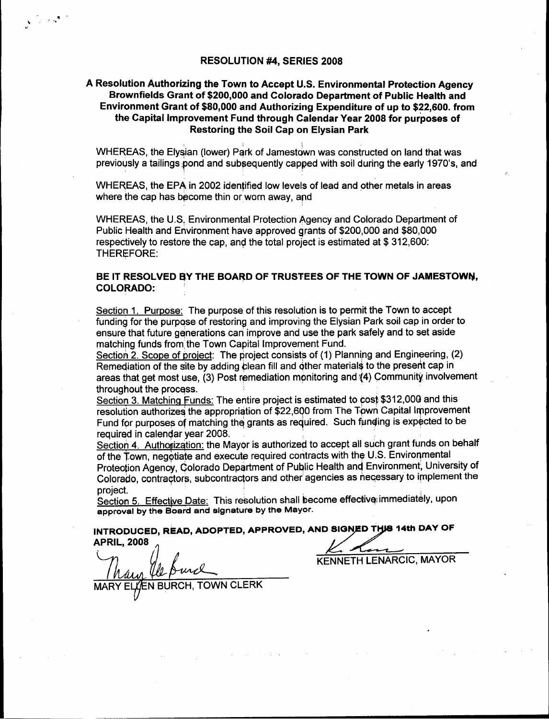## **A Resolution Authorizing the Town to Accept U.S. Environmental Protection Agency Brownfields Grant of \$200,000 and Colorado Department of Public Health and Environment Grant of \$80,000 and Authorizing Expenditure of up to \$22,600. from the Capital Improvement Fund through Calendar Year 2008 for purposes of Restoring the Soil Cap on Elysian Park**

WHEREAS, the Elysian (lower) Park of Jamestown was constructed on land that was previously a tailings pond and subsequently capped with soil during the early 1970's, and

WHEREAS, the EPA in 2002 identified low levels of lead and other metals in areas where the cap has become thin or worn away, and

WHEREAS, the U.S. Environmental Protection Agency and Colorado Department of Public Health and Environment have approved grants of \$200,000 and \$80,000 respectively to restore the cap, and the total project is estimated at \$ 312,600: THEREFORE:

## **BE IT RESOLVED BY THE BOARD OF TRUSTEES OF THE TOWN OF JAMESTOWN, COLORADO:**

Section 1. Purpose: The purpose of this resolution is to permit the Town to accept funding for the purpose of restoring and improving the Elysian Park soil cap in order to ensure that future generations can improve and use the park safely and to set aside matching funds from the Town Capital Improvement Fund.

Section 2. Scope of project: The project consists of (1) Planning and Engineering, (2) Remediation of the site by adding clean fill and other materials to the present cap in Remeqiation of the site by adding clean fill and other materials to the present cap in<br>areas that get most use, (3) Post remediation monitoring and (4) Community involvement throughout the process.

Section 3. Matching Funds: The entire project is estimated to cost \$312,000 and this resolution authorizes the appropriation of \$22,600 from The Town Capital Improvement Fund for purposes of matching the grants as required. Such funding is expected to be required in calendar year 2008.

Section 4. Authorization: the Mayor is authorized to accept all such grant funds on behalf of the Town, negotiate and execute required contracts with the U.S. Environmental Protection Agency, Colorado Department of Public Health and Environment, University of Colorado, contractors, subcontractors and other agencies as necessary to implement the project.

Section 5. Effective Date: This resolution shall become effective immediately, upon **approval by the Board and signature by the Mayor.** 

**INTRODUCED, READ, ADOPTED, APPROVED, AND SIGNED THIS 14th DAY OF .r APRIL, 2008** 

TOWN CLERK

•1

S

KENNETH LENARCIC, MAYOR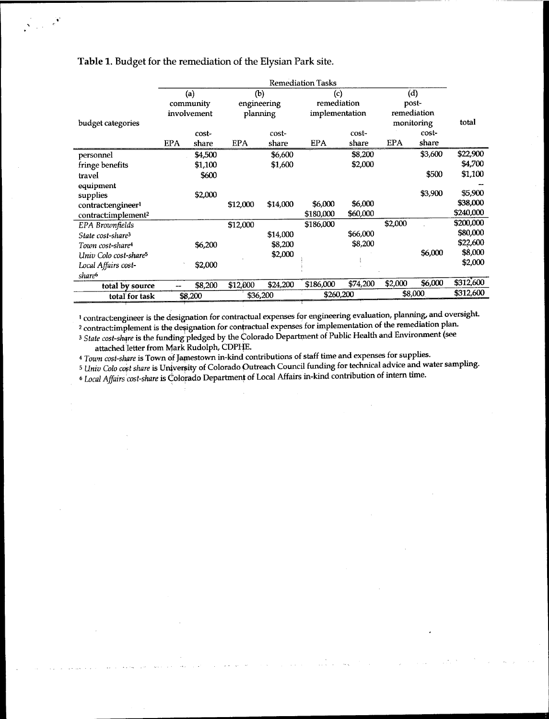|                                   | <b>Remediation Tasks</b> |         |             |          |                |          |             |         |           |
|-----------------------------------|--------------------------|---------|-------------|----------|----------------|----------|-------------|---------|-----------|
|                                   | (a)                      |         | (b)         |          | (c)            |          | (d)         |         |           |
|                                   | community                |         | engineering |          | remediation    |          | post-       |         |           |
|                                   | involvement              |         | planning    |          | implementation |          | remediation |         |           |
| budget categories                 |                          |         |             |          |                |          | monitoring  |         | total     |
|                                   |                          | cost-   |             | cost-    |                | cost-    |             | cost-   |           |
|                                   | <b>EPA</b>               | share   | <b>EPA</b>  | share    | <b>EPA</b>     | share    | EPA         | share   |           |
| personnel                         |                          | \$4,500 |             | \$6,600  |                | \$8,200  |             | \$3,600 | \$22,900  |
| fringe benefits                   |                          | \$1,100 |             | \$1,600  |                | \$2,000  |             |         | \$4,700   |
| travel                            |                          | \$600   |             |          |                |          |             | \$500   | \$1,100   |
| equipment                         |                          |         |             |          |                |          |             |         |           |
| supplies                          |                          | \$2,000 |             |          |                |          |             | \$3,900 | \$5,900   |
| contract: engineer <sup>1</sup>   |                          |         | \$12,000    | \$14,000 | \$6,000        | \$6,000  |             |         | \$38,000  |
| contract:implement <sup>2</sup>   |                          |         |             |          | \$180,000      | \$60,000 |             |         | \$240,000 |
| EPA Brownfields                   |                          |         | \$12,000    |          | \$186,000      |          | \$2,000     |         | \$200,000 |
| State cost-share <sup>3</sup>     |                          |         |             | \$14,000 |                | \$66,000 |             |         | \$80,000  |
| Town cost-share <sup>4</sup>      |                          | \$6,200 |             | \$8,200  |                | \$8,200  |             |         | \$22,600  |
| Univ Colo cost-share <sup>5</sup> |                          |         |             | \$2,000  |                |          |             | \$6,000 | \$8,000   |
| Local Affairs cost-               |                          | \$2,000 |             |          |                |          |             |         | \$2,000   |
| share <sup>6</sup>                |                          |         |             |          |                |          |             |         |           |
| total by source                   |                          | \$8,200 | \$12,000    | \$24,200 | \$186,000      | \$74,200 | \$2,000     | \$6,000 | \$312,600 |
| total for task                    | \$8,200                  |         | \$36,200    |          | \$260,200      |          | \$8,000     |         | \$312,600 |

## Table 1. Budget for the remediation of the Elysian Park site.

0

 $\frac{1}{2}$  .

contract:engineer is the designation for contractual expenses for engineering evaluation, planning, and oversight.

<sup>2</sup> contract:implement is the designation for contractual expenses for implementation of the remediation plan. <sup>3</sup> State cost-share is the funding pledged by the Colorado Department of Public Health and Environment (see

attached letter from Mark Rudolph, CDPHE.

<sup>4</sup> Town cost-share is Town of Jamestown in-kind contributions of staff time and expenses for supplies.

<sup>5</sup>*Univ Cob cost share is* University of Colorado Outreach Council funding for technical advice and water sampling.

<sup>6</sup>*Affairs 'cost-share is* Colorado Department of Local Affairs in-kind contribution of intern time.